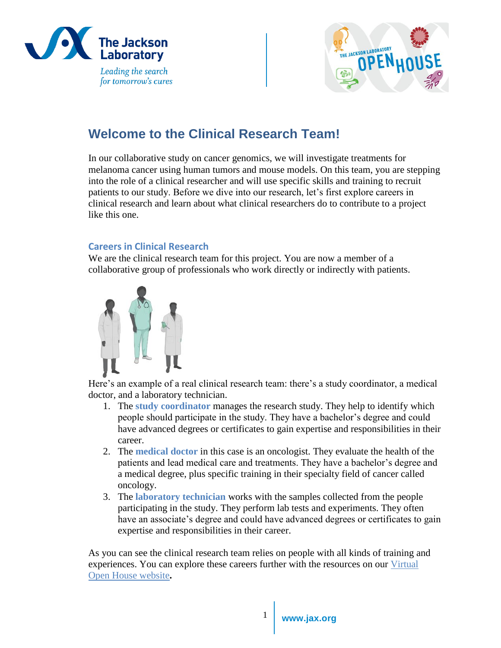



# **Welcome to the Clinical Research Team!**

In our collaborative study on cancer genomics, we will investigate treatments for melanoma cancer using human tumors and mouse models. On this team, you are stepping into the role of a clinical researcher and will use specific skills and training to recruit patients to our study. Before we dive into our research, let's first explore careers in clinical research and learn about what clinical researchers do to contribute to a project like this one.

# **Careers in Clinical Research**

We are the clinical research team for this project. You are now a member of a collaborative group of professionals who work directly or indirectly with patients.



Here's an example of a real clinical research team: there's a study coordinator, a medical doctor, and a laboratory technician.

- 1. The **study coordinator** manages the research study. They help to identify which people should participate in the study. They have a bachelor's degree and could have advanced degrees or certificates to gain expertise and responsibilities in their career.
- 2. The **medical doctor** in this case is an oncologist. They evaluate the health of the patients and lead medical care and treatments. They have a bachelor's degree and a medical degree, plus specific training in their specialty field of cancer called oncology.
- 3. The **laboratory technician** works with the samples collected from the people participating in the study. They perform lab tests and experiments. They often have an associate's degree and could have advanced degrees or certificates to gain expertise and responsibilities in their career.

As you can see the clinical research team relies on people with all kinds of training and experiences. You can explore these careers further with the resources on our Virtual [Open House website](https://www.jax.org/education-and-learning/high-school-students-and-undergraduates/virtual-open-house/career-exploration)**.**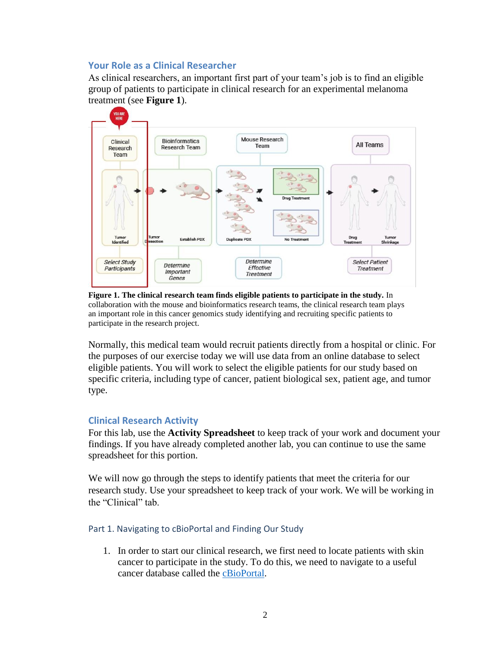#### **Your Role as a Clinical Researcher**

As clinical researchers, an important first part of your team's job is to find an eligible group of patients to participate in clinical research for an experimental melanoma treatment (see **Figure 1**).



**Figure 1. The clinical research team finds eligible patients to participate in the study.** In collaboration with the mouse and bioinformatics research teams, the clinical research team plays an important role in this cancer genomics study identifying and recruiting specific patients to participate in the research project.

Normally, this medical team would recruit patients directly from a hospital or clinic. For the purposes of our exercise today we will use data from an online database to select eligible patients. You will work to select the eligible patients for our study based on specific criteria, including type of cancer, patient biological sex, patient age, and tumor type.

## **Clinical Research Activity**

For this lab, use the **Activity Spreadsheet** to keep track of your work and document your findings. If you have already completed another lab, you can continue to use the same spreadsheet for this portion.

We will now go through the steps to identify patients that meet the criteria for our research study. Use your spreadsheet to keep track of your work. We will be working in the "Clinical" tab.

## Part 1. Navigating to cBioPortal and Finding Our Study

1. In order to start our clinical research, we first need to locate patients with skin cancer to participate in the study. To do this, we need to navigate to a useful cancer database called the [cBioPortal.](https://www.cbioportal.org/)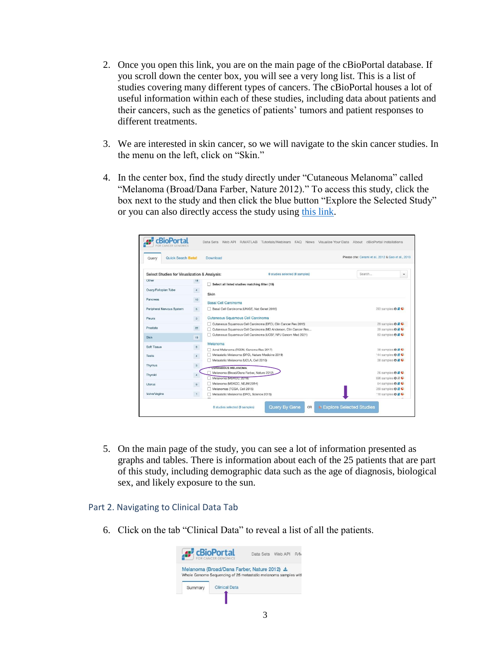- 2. Once you open this link, you are on the main page of the cBioPortal database. If you scroll down the center box, you will see a very long list. This is a list of studies covering many different types of cancers. The cBioPortal houses a lot of useful information within each of these studies, including data about patients and their cancers, such as the genetics of patients' tumors and patient responses to different treatments.
- 3. We are interested in skin cancer, so we will navigate to the skin cancer studies. In the menu on the left, click on "Skin."
- 4. In the center box, find the study directly under "Cutaneous Melanoma" called "Melanoma (Broad/Dana Farber, Nature 2012)." To access this study, click the box next to the study and then click the blue button "Explore the Selected Study" or you can also directly access the study using [this link.](https://www.cbioportal.org/study/summary?id=skcm_broad_dfarber)

| Quick Search Beta!<br>Query                  |                  | Download                                                        | Please cite: Cerami et al., 2012 & Gao et al., 2013 |
|----------------------------------------------|------------------|-----------------------------------------------------------------|-----------------------------------------------------|
| Select Studies for Visualization & Analysis: |                  | 0 studies selected (0 samples)                                  | Search<br>۰                                         |
| Other                                        | 18               | Select all listed studies matching filter (19)                  |                                                     |
| Ovary/Fallopian Tube                         | $4$              |                                                                 |                                                     |
|                                              |                  | Skin                                                            |                                                     |
| Pancreas                                     | 10               | <b>Basal Cell Carcinoma</b>                                     |                                                     |
| Peripheral Nervous System                    | 5                | Basal Cell Carcinoma (UNIGE, Nat Genet 2016)                    | 293 samples <b>O 2 C</b>                            |
| Pleura                                       | $\mathbf{3}$     | Cutaneous Squamous Cell Carcinoma                               |                                                     |
|                                              |                  | Cutaneous Squamous Cell Carcinoma (DFCI, Clin Cancer Res 2015)  | 29 samples <b>O</b> B                               |
| Prostate                                     | $22^{\circ}$     | Cutaneous Squamous Cell Carcinoma (MD Anderson, Clin Cancer Res | 39 samples <b>O B</b>                               |
| <b>Skin</b>                                  | 19               | Cutaneous Squamous Cell Carcinoma (UCSF, NPJ Genom Med 2021)    | 83 samples <b>O B</b>                               |
| Soft Tissue                                  | 9                | Melanoma                                                        |                                                     |
|                                              |                  | Acral Melanoma (TGEN, Genome Res 2017)                          | 38 samples <b>OBC</b>                               |
| <b>Testis</b>                                | $\overline{4}$   | Metastatic Melanoma (DFCI, Nature Medicine 2019)                | 144 samples <b>0 2 C</b>                            |
|                                              |                  | Metastatic Melanoma (UCLA, Cell 2016)                           | 38 samples <b>0 2 C</b>                             |
| <b>Thymus</b>                                | $\mathbf{3}$     | <b>CUTANEOUS MELANOMA</b>                                       |                                                     |
| Thyroid                                      | $\boldsymbol{4}$ | Melanoma (Broad/Dana Farber, Nature 2012)                       | 26 samples $\theta \neq \theta$                     |
|                                              |                  | Melanoma (MSKCC, 2018)                                          | 696 samples <b>O B</b>                              |
| Uterus                                       | $\theta$         | Melanoma (MSKCC, NEJM 2014)                                     | 64 samples <b>O B</b>                               |
|                                              |                  | Melanomas (TCGA, Cell 2015)                                     | 359 samples <b>O B C</b>                            |
| Vulva/Vagina                                 | 1                | Metastatic Melanoma (DFCI, Science 2015)                        | 110 samples <b>0 2 C</b>                            |

5. On the main page of the study, you can see a lot of information presented as graphs and tables. There is information about each of the 25 patients that are part of this study, including demographic data such as the age of diagnosis, biological sex, and likely exposure to the sun.

#### Part 2. Navigating to Clinical Data Tab

6. Click on the tab "Clinical Data" to reveal a list of all the patients.

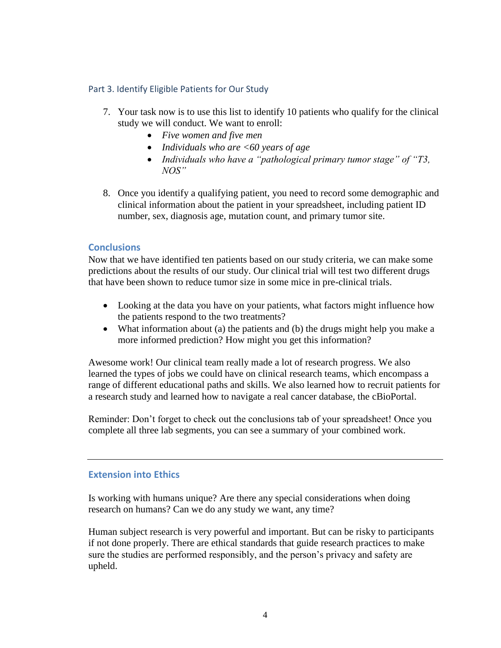#### Part 3. Identify Eligible Patients for Our Study

- 7. Your task now is to use this list to identify 10 patients who qualify for the clinical study we will conduct. We want to enroll:
	- *Five women and five men*
	- *Individuals who are <60 years of age*
	- *Individuals who have a "pathological primary tumor stage" of "T3, NOS"*
- 8. Once you identify a qualifying patient, you need to record some demographic and clinical information about the patient in your spreadsheet, including patient ID number, sex, diagnosis age, mutation count, and primary tumor site.

## **Conclusions**

Now that we have identified ten patients based on our study criteria, we can make some predictions about the results of our study. Our clinical trial will test two different drugs that have been shown to reduce tumor size in some mice in pre-clinical trials.

- Looking at the data you have on your patients, what factors might influence how the patients respond to the two treatments?
- What information about (a) the patients and (b) the drugs might help you make a more informed prediction? How might you get this information?

Awesome work! Our clinical team really made a lot of research progress. We also learned the types of jobs we could have on clinical research teams, which encompass a range of different educational paths and skills. We also learned how to recruit patients for a research study and learned how to navigate a real cancer database, the cBioPortal.

Reminder: Don't forget to check out the conclusions tab of your spreadsheet! Once you complete all three lab segments, you can see a summary of your combined work.

## **Extension into Ethics**

Is working with humans unique? Are there any special considerations when doing research on humans? Can we do any study we want, any time?

Human subject research is very powerful and important. But can be risky to participants if not done properly. There are ethical standards that guide research practices to make sure the studies are performed responsibly, and the person's privacy and safety are upheld.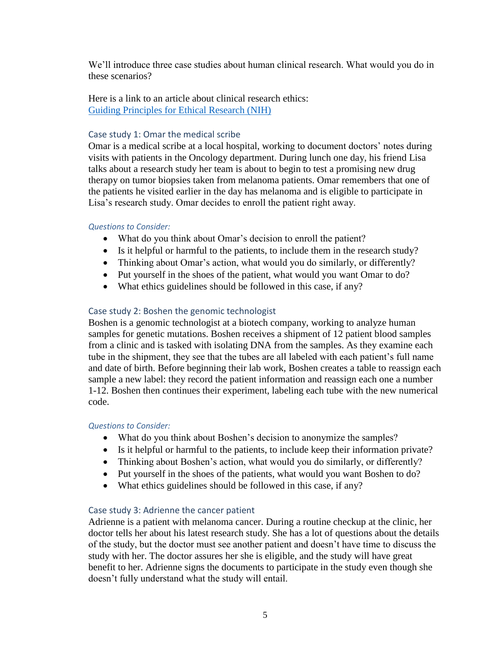We'll introduce three case studies about human clinical research. What would you do in these scenarios?

Here is a link to an article about clinical research ethics: [Guiding Principles for Ethical Research \(NIH\)](https://www.nih.gov/health-information/nih-clinical-research-trials-you/guiding-principles-ethical-research)

## Case study 1: Omar the medical scribe

Omar is a medical scribe at a local hospital, working to document doctors' notes during visits with patients in the Oncology department. During lunch one day, his friend Lisa talks about a research study her team is about to begin to test a promising new drug therapy on tumor biopsies taken from melanoma patients. Omar remembers that one of the patients he visited earlier in the day has melanoma and is eligible to participate in Lisa's research study. Omar decides to enroll the patient right away.

## *Questions to Consider:*

- What do you think about Omar's decision to enroll the patient?
- Is it helpful or harmful to the patients, to include them in the research study?
- Thinking about Omar's action, what would you do similarly, or differently?
- Put yourself in the shoes of the patient, what would you want Omar to do?
- What ethics guidelines should be followed in this case, if any?

# Case study 2: Boshen the genomic technologist

Boshen is a genomic technologist at a biotech company, working to analyze human samples for genetic mutations. Boshen receives a shipment of 12 patient blood samples from a clinic and is tasked with isolating DNA from the samples. As they examine each tube in the shipment, they see that the tubes are all labeled with each patient's full name and date of birth. Before beginning their lab work, Boshen creates a table to reassign each sample a new label: they record the patient information and reassign each one a number 1-12. Boshen then continues their experiment, labeling each tube with the new numerical code.

## *Questions to Consider:*

- What do you think about Boshen's decision to anonymize the samples?
- Is it helpful or harmful to the patients, to include keep their information private?
- Thinking about Boshen's action, what would you do similarly, or differently?
- Put yourself in the shoes of the patients, what would you want Boshen to do?
- What ethics guidelines should be followed in this case, if any?

# Case study 3: Adrienne the cancer patient

Adrienne is a patient with melanoma cancer. During a routine checkup at the clinic, her doctor tells her about his latest research study. She has a lot of questions about the details of the study, but the doctor must see another patient and doesn't have time to discuss the study with her. The doctor assures her she is eligible, and the study will have great benefit to her. Adrienne signs the documents to participate in the study even though she doesn't fully understand what the study will entail.